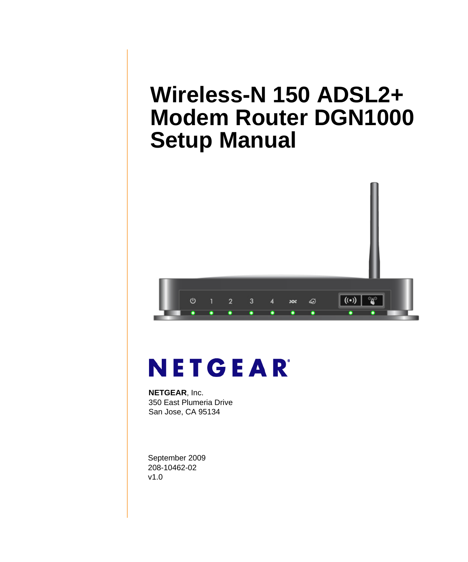# <span id="page-0-0"></span>**Wireless-N 150 ADSL2+ Modem Router DGN1000 Setup Manual**



# NETGEAR

**NETGEAR**, Inc. 350 East Plumeria Drive San Jose, CA 95134

September 2009 208-10462-02 v1.0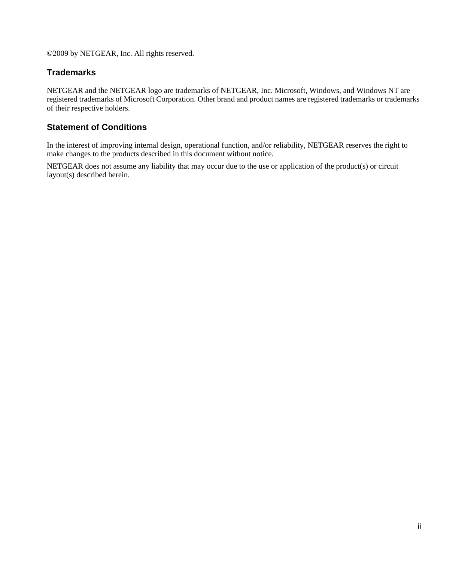©2009 by NETGEAR, Inc. All rights reserved.

#### **Trademarks**

NETGEAR and the NETGEAR logo are trademarks of NETGEAR, Inc. Microsoft, Windows, and Windows NT are registered trademarks of Microsoft Corporation. Other brand and product names are registered trademarks or trademarks of their respective holders.

#### **Statement of Conditions**

In the interest of improving internal design, operational function, and/or reliability, NETGEAR reserves the right to make changes to the products described in this document without notice.

NETGEAR does not assume any liability that may occur due to the use or application of the product(s) or circuit layout(s) described herein.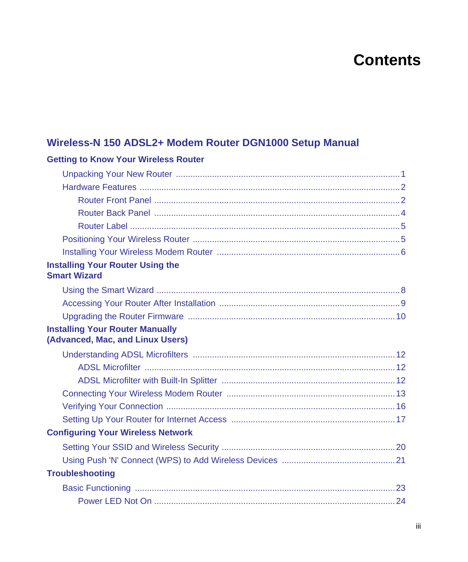## **Contents**

### Wireless-N 150 ADSL2+ Modem Router DGN1000 Setup Manual

| <b>Getting to Know Your Wireless Router</b>                                |
|----------------------------------------------------------------------------|
|                                                                            |
|                                                                            |
|                                                                            |
|                                                                            |
|                                                                            |
|                                                                            |
|                                                                            |
| <b>Installing Your Router Using the</b>                                    |
| <b>Smart Wizard</b>                                                        |
|                                                                            |
|                                                                            |
|                                                                            |
| <b>Installing Your Router Manually</b><br>(Advanced, Mac, and Linux Users) |
|                                                                            |
|                                                                            |
|                                                                            |
|                                                                            |
|                                                                            |
|                                                                            |
| <b>Configuring Your Wireless Network</b>                                   |
|                                                                            |
|                                                                            |
| <b>Troubleshooting</b>                                                     |
|                                                                            |
|                                                                            |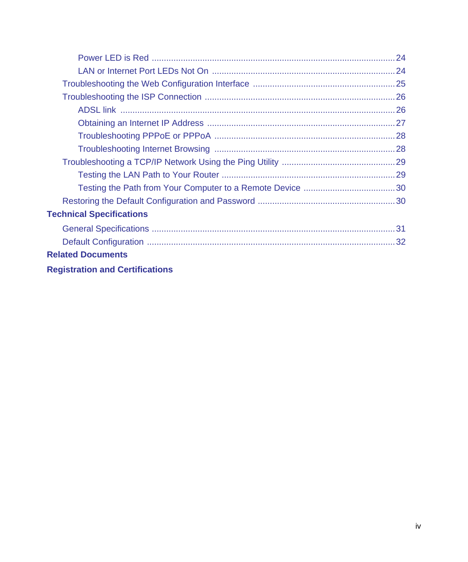| <b>Technical Specifications</b>        |  |
|----------------------------------------|--|
|                                        |  |
|                                        |  |
| <b>Related Documents</b>               |  |
| <b>Registration and Certifications</b> |  |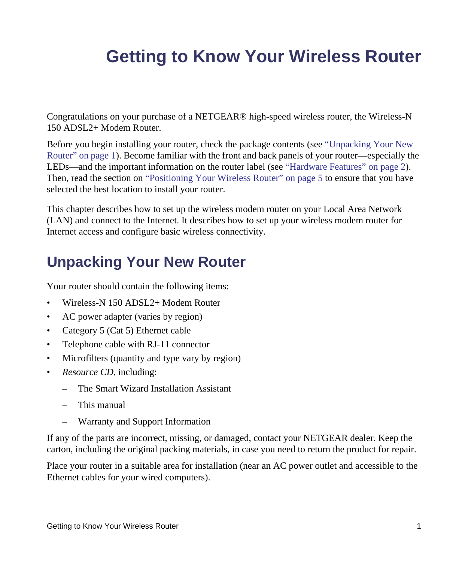# <span id="page-4-0"></span>**Getting to Know Your Wireless Router**

Congratulations on your purchase of a NETGEAR® high-speed wireless router, the Wireless-N 150 ADSL2+ Modem Router.

Before you begin installing your router, check the package contents (see ["Unpacking Your New](#page-4-1)  [Router" on page 1\)](#page-4-1). Become familiar with the front and back panels of your router—especially the LEDs—and the important information on the router label (see ["Hardware Features" on page 2\)](#page-5-0). Then, read the section on ["Positioning Your Wireless Router" on page 5](#page-8-1) to ensure that you have selected the best location to install your router.

This chapter describes how to set up the wireless modem router on your Local Area Network (LAN) and connect to the Internet. It describes how to set up your wireless modem router for Internet access and configure basic wireless connectivity.

## <span id="page-4-2"></span><span id="page-4-1"></span>**Unpacking Your New Router**

Your router should contain the following items:

- Wireless-N 150 ADSL2+ Modem Router
- AC power adapter (varies by region)
- Category 5 (Cat 5) Ethernet cable
- Telephone cable with RJ-11 connector
- Microfilters (quantity and type vary by region)
- *Resource CD*, including:
	- The Smart Wizard Installation Assistant
	- This manual
	- Warranty and Support Information

If any of the parts are incorrect, missing, or damaged, contact your NETGEAR dealer. Keep the carton, including the original packing materials, in case you need to return the product for repair.

Place your router in a suitable area for installation (near an AC power outlet and accessible to the Ethernet cables for your wired computers).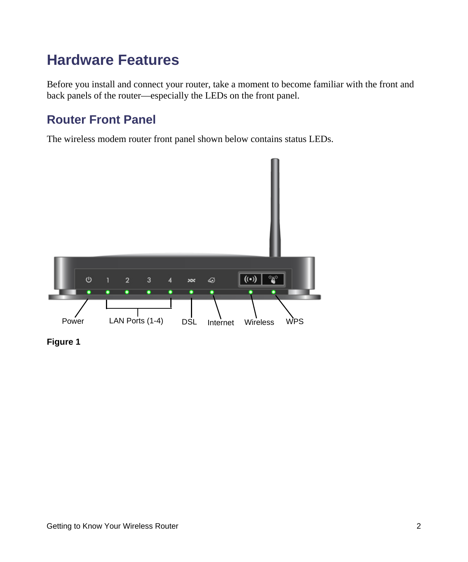## <span id="page-5-2"></span><span id="page-5-0"></span>**Hardware Features**

Before you install and connect your router, take a moment to become familiar with the front and back panels of the router—especially the LEDs on the front panel.

### <span id="page-5-1"></span>**Router Front Panel**

The wireless modem router front panel shown below contains status LEDs.



**Figure 1**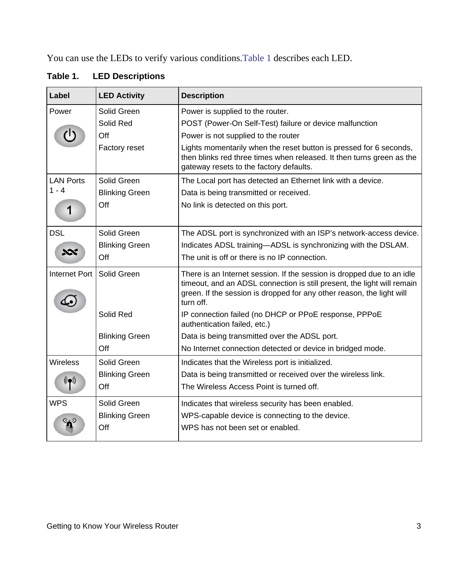You can use the LEDs to verify various conditions.[Table 1](#page-6-0) describes each LED.

| Label            | <b>LED Activity</b>   | <b>Description</b>                                                                                                                                                                                                                      |
|------------------|-----------------------|-----------------------------------------------------------------------------------------------------------------------------------------------------------------------------------------------------------------------------------------|
| Power            | Solid Green           | Power is supplied to the router.                                                                                                                                                                                                        |
|                  | Solid Red             | POST (Power-On Self-Test) failure or device malfunction                                                                                                                                                                                 |
| $\bigcirc$       | Off                   | Power is not supplied to the router                                                                                                                                                                                                     |
|                  | Factory reset         | Lights momentarily when the reset button is pressed for 6 seconds,<br>then blinks red three times when released. It then turns green as the<br>gateway resets to the factory defaults.                                                  |
| <b>LAN Ports</b> | Solid Green           | The Local port has detected an Ethernet link with a device.                                                                                                                                                                             |
| $1 - 4$          | <b>Blinking Green</b> | Data is being transmitted or received.                                                                                                                                                                                                  |
| 1                | Off                   | No link is detected on this port.                                                                                                                                                                                                       |
|                  |                       |                                                                                                                                                                                                                                         |
| <b>DSL</b>       | Solid Green           | The ADSL port is synchronized with an ISP's network-access device.                                                                                                                                                                      |
|                  | <b>Blinking Green</b> | Indicates ADSL training—ADSL is synchronizing with the DSLAM.                                                                                                                                                                           |
| XX               | Off                   | The unit is off or there is no IP connection.                                                                                                                                                                                           |
| Internet Port    | Solid Green           | There is an Internet session. If the session is dropped due to an idle<br>timeout, and an ADSL connection is still present, the light will remain<br>green. If the session is dropped for any other reason, the light will<br>turn off. |
|                  | Solid Red             | IP connection failed (no DHCP or PPoE response, PPPoE<br>authentication failed, etc.)                                                                                                                                                   |
|                  | <b>Blinking Green</b> | Data is being transmitted over the ADSL port.                                                                                                                                                                                           |
|                  | Off                   | No Internet connection detected or device in bridged mode.                                                                                                                                                                              |
| Wireless         | Solid Green           | Indicates that the Wireless port is initialized.                                                                                                                                                                                        |
|                  | <b>Blinking Green</b> | Data is being transmitted or received over the wireless link.                                                                                                                                                                           |
| $(\mathbf{r})$   | Off                   | The Wireless Access Point is turned off.                                                                                                                                                                                                |
| <b>WPS</b>       | Solid Green           | Indicates that wireless security has been enabled.                                                                                                                                                                                      |
|                  | <b>Blinking Green</b> | WPS-capable device is connecting to the device.                                                                                                                                                                                         |
|                  | Off                   | WPS has not been set or enabled.                                                                                                                                                                                                        |

<span id="page-6-0"></span>**Table 1. LED Descriptions**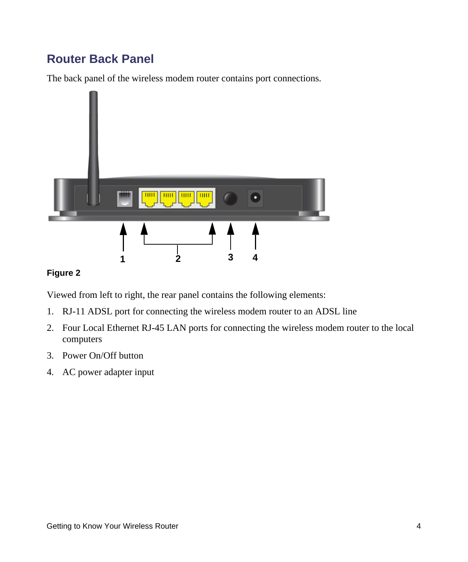### <span id="page-7-0"></span>**Router Back Panel**

The back panel of the wireless modem router contains port connections.



#### **Figure 2**

Viewed from left to right, the rear panel contains the following elements:

- 1. RJ-11 ADSL port for connecting the wireless modem router to an ADSL line
- 2. Four Local Ethernet RJ-45 LAN ports for connecting the wireless modem router to the local computers
- 3. Power On/Off button
- 4. AC power adapter input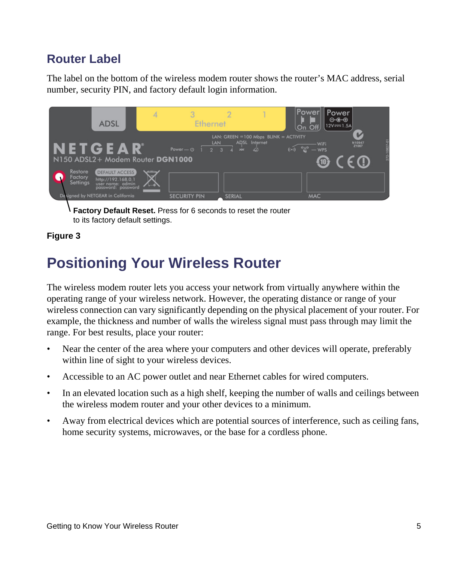### <span id="page-8-0"></span>**Router Label**

The label on the bottom of the wireless modem router shows the router's MAC address, serial number, security PIN, and factory default login information.



**Factory Default Reset.** Press for 6 seconds to reset the router to its factory default settings.

#### **Figure 3**

## <span id="page-8-2"></span><span id="page-8-1"></span>**Positioning Your Wireless Router**

The wireless modem router lets you access your network from virtually anywhere within the operating range of your wireless network. However, the operating distance or range of your wireless connection can vary significantly depending on the physical placement of your router. For example, the thickness and number of walls the wireless signal must pass through may limit the range. For best results, place your router:

- Near the center of the area where your computers and other devices will operate, preferably within line of sight to your wireless devices.
- Accessible to an AC power outlet and near Ethernet cables for wired computers.
- In an elevated location such as a high shelf, keeping the number of walls and ceilings between the wireless modem router and your other devices to a minimum.
- Away from electrical devices which are potential sources of interference, such as ceiling fans, home security systems, microwaves, or the base for a cordless phone.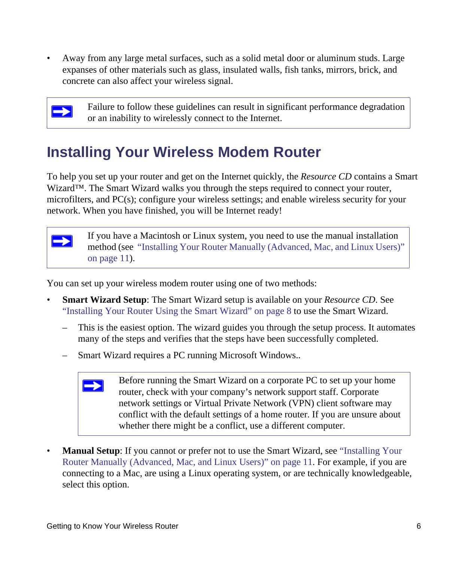• Away from any large metal surfaces, such as a solid metal door or aluminum studs. Large expanses of other materials such as glass, insulated walls, fish tanks, mirrors, brick, and concrete can also affect your wireless signal.



Failure to follow these guidelines can result in significant performance degradation or an inability to wirelessly connect to the Internet.

### <span id="page-9-0"></span>**Installing Your Wireless Modem Router**

To help you set up your router and get on the Internet quickly, the *Resource CD* contains a Smart Wizard™. The Smart Wizard walks you through the steps required to connect your router, microfilters, and PC(s); configure your wireless settings; and enable wireless security for your network. When you have finished, you will be Internet ready!



You can set up your wireless modem router using one of two methods:

- **Smart Wizard Setup**: The Smart Wizard setup is available on your *Resource CD*. See ["Installing Your Router Using the Smart Wizard" on page 8](#page-11-2) to use the Smart Wizard.
	- This is the easiest option. The wizard guides you through the setup process. It automates many of the steps and verifies that the steps have been successfully completed.
	- Smart Wizard requires a PC running Microsoft Windows..

Before running the Smart Wizard on a corporate PC to set up your home router, check with your company's network support staff. Corporate network settings or Virtual Private Network (VPN) client software may conflict with the default settings of a home router. If you are unsure about whether there might be a conflict, use a different computer.

• **Manual Setup**: If you cannot or prefer not to use the Smart Wizard, see "Installing Your" [Router Manually \(Advanced, Mac, and Linux Users\)" on page 11.](#page-14-1) For example, if you are connecting to a Mac, are using a Linux operating system, or are technically knowledgeable, select this option.

 $\rightarrow$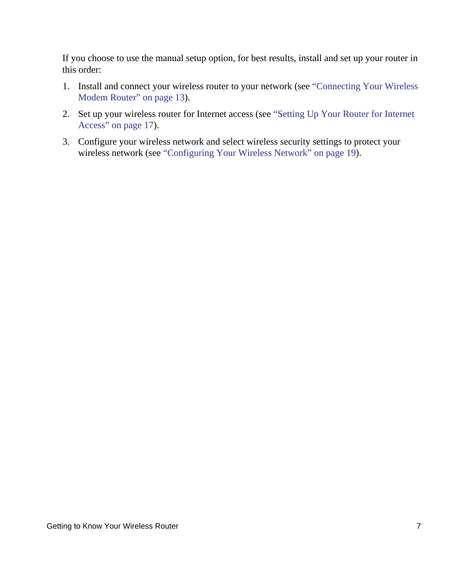If you choose to use the manual setup option, for best results, install and set up your router in this order:

- 1. Install and connect your wireless router to your network (see ["Connecting Your Wireless](#page-16-1)  [Modem Router" on page 13](#page-16-1)).
- 2. Set up your wireless router for Internet access (see ["Setting Up Your Router for Internet](#page-20-1)  [Access" on page 17](#page-20-1)).
- 3. Configure your wireless network and select wireless security settings to protect your wireless network (see ["Configuring Your Wireless Network" on page 19\)](#page-22-1).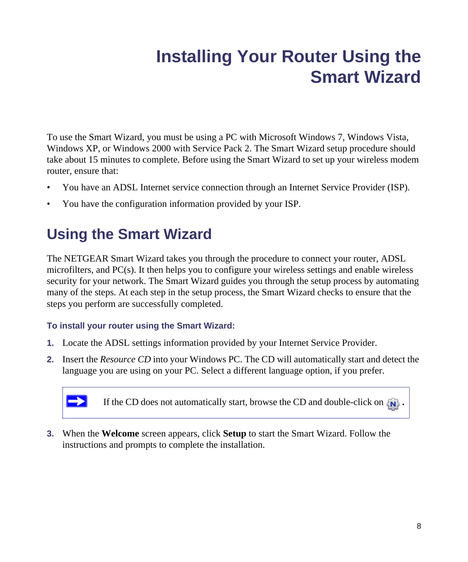# <span id="page-11-2"></span>**Installing Your Router Using the Smart Wizard**

<span id="page-11-0"></span>To use the Smart Wizard, you must be using a PC with Microsoft Windows 7, Windows Vista, Windows XP, or Windows 2000 with Service Pack 2. The Smart Wizard setup procedure should take about 15 minutes to complete. Before using the Smart Wizard to set up your wireless modem router, ensure that:

- You have an ADSL Internet service connection through an Internet Service Provider (ISP).
- You have the configuration information provided by your ISP.

## <span id="page-11-1"></span>**Using the Smart Wizard**

The NETGEAR Smart Wizard takes you through the procedure to connect your router, ADSL microfilters, and PC(s). It then helps you to configure your wireless settings and enable wireless security for your network. The Smart Wizard guides you through the setup process by automating many of the steps. At each step in the setup process, the Smart Wizard checks to ensure that the steps you perform are successfully completed.

#### **To install your router using the Smart Wizard:**

- **1.** Locate the ADSL settings information provided by your Internet Service Provider.
- **2.** Insert the *Resource CD* into your Windows PC. The CD will automatically start and detect the language you are using on your PC. Select a different language option, if you prefer.



If the CD does not automatically start, browse the CD and double-click on  $\{N\}$ .

**3.** When the **Welcome** screen appears, click **Setup** to start the Smart Wizard. Follow the instructions and prompts to complete the installation.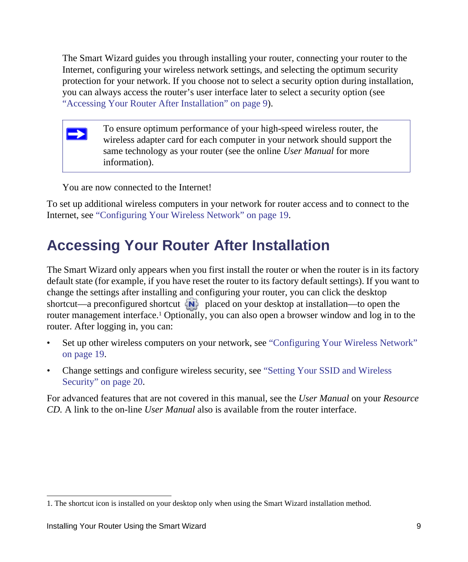The Smart Wizard guides you through installing your router, connecting your router to the Internet, configuring your wireless network settings, and selecting the optimum security protection for your network. If you choose not to select a security option during installation, you can always access the router's user interface later to select a security option (see ["Accessing Your Router After Installation" on page 9\)](#page-12-0).

To ensure optimum performance of your high-speed wireless router, the  $\rightarrow$ wireless adapter card for each computer in your network should support the same technology as your router (see the online *User Manual* for more information).

You are now connected to the Internet!

To set up additional wireless computers in your network for router access and to connect to the Internet, see ["Configuring Your Wireless Network" on page 19.](#page-22-1)

### <span id="page-12-0"></span>**Accessing Your Router After Installation**

The Smart Wizard only appears when you first install the router or when the router is in its factory default state (for example, if you have reset the router to its factory default settings). If you want to change the settings after installing and configuring your router, you can click the desktop shortcut—a preconfigured shortcut  $\{N\}$  placed on your desktop at installation—to open the router management interface.1 Optionally, you can also open a browser window and log in to the router. After logging in, you can:

- Set up other wireless computers on your network, see ["Configuring Your Wireless Network"](#page-22-1)  [on page 19](#page-22-1).
- Change settings and configure wireless security, see ["Setting Your SSID and Wireless](#page-23-1)  [Security" on page 20.](#page-23-1)

For advanced features that are not covered in this manual, see the *User Manual* on your *Resource CD.* A link to the on-line *User Manual* also is available from the router interface.

<sup>1.</sup> The shortcut icon is installed on your desktop only when using the Smart Wizard installation method.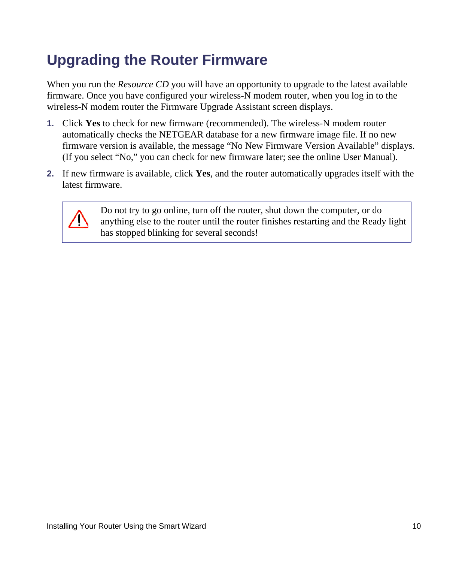## <span id="page-13-0"></span>**Upgrading the Router Firmware**

When you run the *Resource CD* you will have an opportunity to upgrade to the latest available firmware. Once you have configured your wireless-N modem router, when you log in to the wireless-N modem router the Firmware Upgrade Assistant screen displays.

- **1.** Click **Yes** to check for new firmware (recommended). The wireless-N modem router automatically checks the NETGEAR database for a new firmware image file. If no new firmware version is available, the message "No New Firmware Version Available" displays. (If you select "No," you can check for new firmware later; see the online User Manual).
- **2.** If new firmware is available, click **Yes**, and the router automatically upgrades itself with the latest firmware.



Do not try to go online, turn off the router, shut down the computer, or do anything else to the router until the router finishes restarting and the Ready light has stopped blinking for several seconds!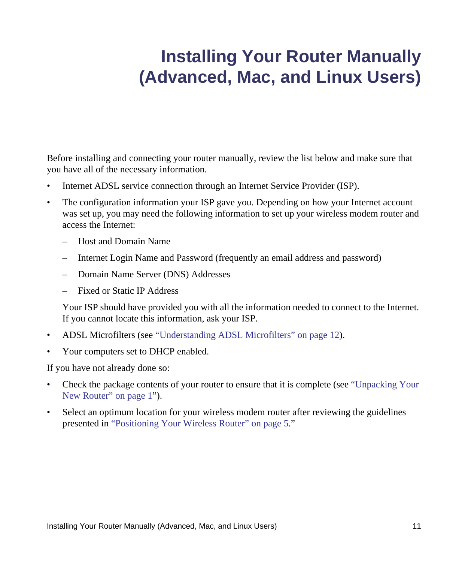# <span id="page-14-1"></span><span id="page-14-0"></span>**Installing Your Router Manually (Advanced, Mac, and Linux Users)**

Before installing and connecting your router manually, review the list below and make sure that you have all of the necessary information.

- Internet ADSL service connection through an Internet Service Provider (ISP).
- The configuration information your ISP gave you. Depending on how your Internet account was set up, you may need the following information to set up your wireless modem router and access the Internet:
	- Host and Domain Name
	- Internet Login Name and Password (frequently an email address and password)
	- Domain Name Server (DNS) Addresses
	- Fixed or Static IP Address

Your ISP should have provided you with all the information needed to connect to the Internet. If you cannot locate this information, ask your ISP.

- ADSL Microfilters (see ["Understanding ADSL Microfilters" on page 12\)](#page-15-0).
- Your computers set to DHCP enabled.

If you have not already done so:

- Check the package contents of your router to ensure that it is complete (see "Unpacking Your" [New Router" on page 1"](#page-4-2)).
- Select an optimum location for your wireless modem router after reviewing the guidelines presented in ["Positioning Your Wireless Router" on page 5.](#page-8-2)"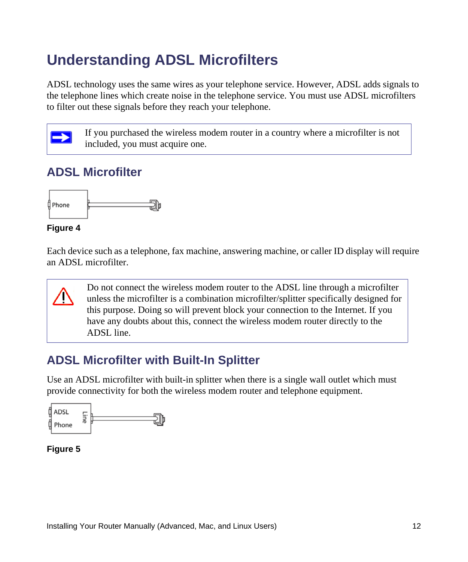## <span id="page-15-0"></span>**Understanding ADSL Microfilters**

ADSL technology uses the same wires as your telephone service. However, ADSL adds signals to the telephone lines which create noise in the telephone service. You must use ADSL microfilters to filter out these signals before they reach your telephone.

If you purchased the wireless modem router in a country where a microfilter is not included, you must acquire one.

### <span id="page-15-1"></span>**ADSL Microfilter**



#### **Figure 4**

Each device such as a telephone, fax machine, answering machine, or caller ID display will require an ADSL microfilter.

Do not connect the wireless modem router to the ADSL line through a microfilter unless the microfilter is a combination microfilter/splitter specifically designed for this purpose. Doing so will prevent block your connection to the Internet. If you have any doubts about this, connect the wireless modem router directly to the ADSL line.

### <span id="page-15-2"></span>**ADSL Microfilter with Built-In Splitter**

Use an ADSL microfilter with built-in splitter when there is a single wall outlet which must provide connectivity for both the wireless modem router and telephone equipment.

| ADSL  |   |  |
|-------|---|--|
| Phone | m |  |

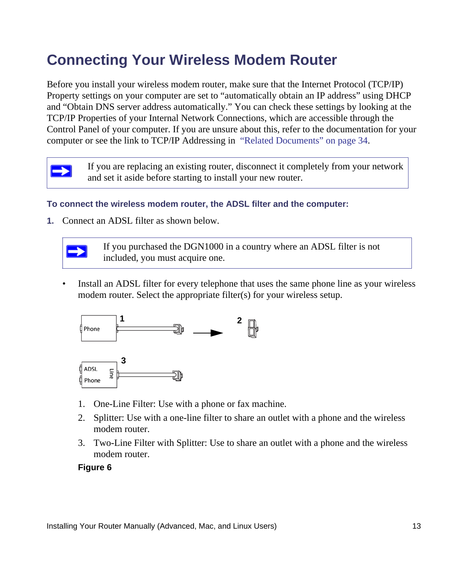## <span id="page-16-1"></span><span id="page-16-0"></span>**Connecting Your Wireless Modem Router**

Before you install your wireless modem router, make sure that the Internet Protocol (TCP/IP) Property settings on your computer are set to "automatically obtain an IP address" using DHCP and "Obtain DNS server address automatically." You can check these settings by looking at the TCP/IP Properties of your Internal Network Connections, which are accessible through the Control Panel of your computer. If you are unsure about this, refer to the documentation for your computer or see the link to TCP/IP Addressing in ["Related Documents" on page 34](#page-37-1).



If you are replacing an existing router, disconnect it completely from your network and set it aside before starting to install your new router.

#### **To connect the wireless modem router, the ADSL filter and the computer:**

**1.** Connect an ADSL filter as shown below.



If you purchased the DGN1000 in a country where an ADSL filter is not included, you must acquire one.

• Install an ADSL filter for every telephone that uses the same phone line as your wireless modem router. Select the appropriate filter(s) for your wireless setup.



- 1. One-Line Filter: Use with a phone or fax machine.
- 2. Splitter: Use with a one-line filter to share an outlet with a phone and the wireless modem router.
- 3. Two-Line Filter with Splitter: Use to share an outlet with a phone and the wireless modem router.

#### **Figure 6**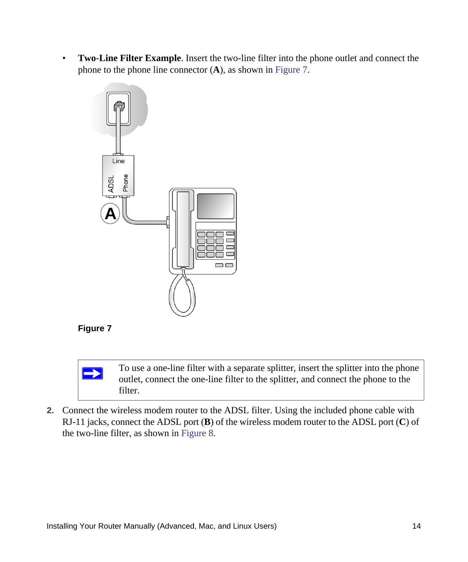• **Two-Line Filter Example**. Insert the two-line filter into the phone outlet and connect the phone to the phone line connector (**A**), as shown in [Figure 7.](#page-17-0)



<span id="page-17-0"></span>



To use a one-line filter with a separate splitter, insert the splitter into the phone outlet, connect the one-line filter to the splitter, and connect the phone to the filter.

**2.** Connect the wireless modem router to the ADSL filter. Using the included phone cable with RJ-11 jacks, connect the ADSL port (**B**) of the wireless modem router to the ADSL port (**C**) of the two-line filter, as shown in [Figure 8](#page-18-0).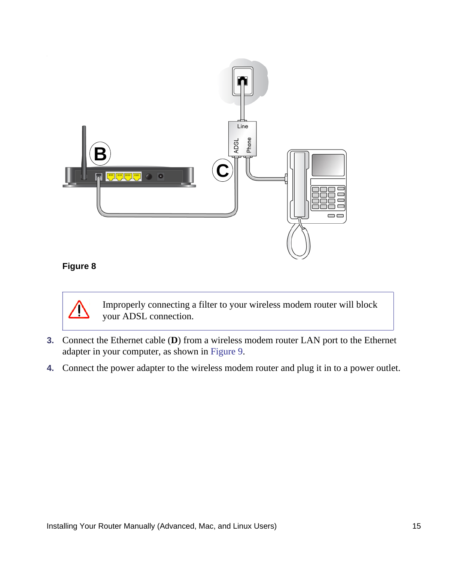

<span id="page-18-0"></span>**Figure 8**



Improperly connecting a filter to your wireless modem router will block your ADSL connection.

- **3.** Connect the Ethernet cable (**D**) from a wireless modem router LAN port to the Ethernet adapter in your computer, as shown in [Figure 9](#page-19-1).
- **4.** Connect the power adapter to the wireless modem router and plug it in to a power outlet.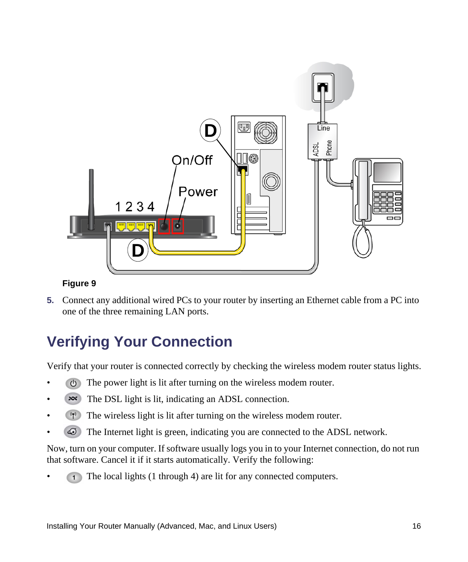

#### <span id="page-19-1"></span>**Figure 9**

**5.** Connect any additional wired PCs to your router by inserting an Ethernet cable from a PC into one of the three remaining LAN ports.

## <span id="page-19-0"></span>**Verifying Your Connection**

Verify that your router is connected correctly by checking the wireless modem router status lights.

- $\bullet$  The power light is lit after turning on the wireless modem router.
- $\sim$  The DSL light is lit, indicating an ADSL connection.
- **(1)** The wireless light is lit after turning on the wireless modem router.
- The Internet light is green, indicating you are connected to the ADSL network.

Now, turn on your computer. If software usually logs you in to your Internet connection, do not run that software. Cancel it if it starts automatically. Verify the following:

The local lights (1 through 4) are lit for any connected computers.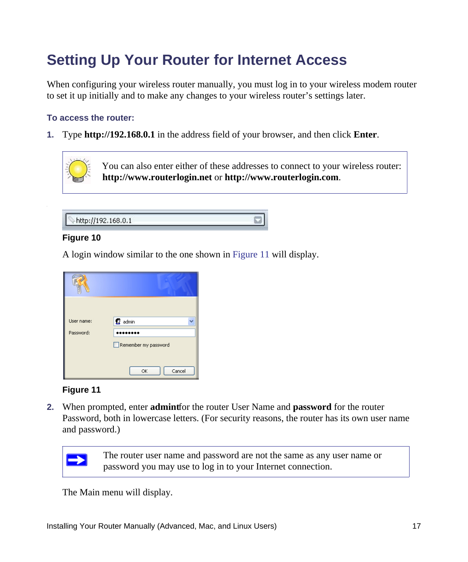## <span id="page-20-1"></span><span id="page-20-0"></span>**Setting Up Your Router for Internet Access**

When configuring your wireless router manually, you must log in to your wireless modem router to set it up initially and to make any changes to your wireless router's settings later.

#### **To access the router:**

**1.** Type **http://192.168.0.1** in the address field of your browser, and then click **Enter**.



You can also enter either of these addresses to connect to your wireless router: **http://www.routerlogin.net** or **http://www.routerlogin.com**.

http://192.168.0.1

#### **Figure 10**

A login window similar to the one shown in [Figure 11](#page-20-2) will display.

| User name: | 2 admin              |
|------------|----------------------|
| Password:  | Remember my password |
|            | Cancel<br>OK         |

#### <span id="page-20-2"></span>**Figure 11**

**2.** When prompted, enter **admint**for the router User Name and **password** for the router Password, both in lowercase letters. (For security reasons, the router has its own user name and password.)



The router user name and password are not the same as any user name or password you may use to log in to your Internet connection.

The Main menu will display.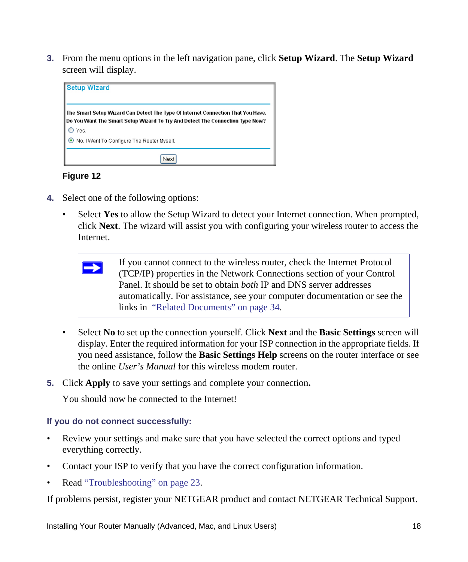**3.** From the menu options in the left navigation pane, click **Setup Wizard**. The **Setup Wizard**  screen will display.



#### **Figure 12**

- **4.** Select one of the following options:
	- Select **Yes** to allow the Setup Wizard to detect your Internet connection. When prompted, click **Next**. The wizard will assist you with configuring your wireless router to access the **Internet**



- Select **No** to set up the connection yourself. Click **Next** and the **Basic Settings** screen will display. Enter the required information for your ISP connection in the appropriate fields. If you need assistance, follow the **Basic Settings Help** screens on the router interface or see the online *User's Manual* for this wireless modem router.
- **5.** Click **Apply** to save your settings and complete your connection**.**

You should now be connected to the Internet!

#### **If you do not connect successfully:**

- Review your settings and make sure that you have selected the correct options and typed everything correctly.
- Contact your ISP to verify that you have the correct configuration information.
- Read ["Troubleshooting" on page 23.](#page-26-2)

If problems persist, register your NETGEAR product and contact NETGEAR Technical Support.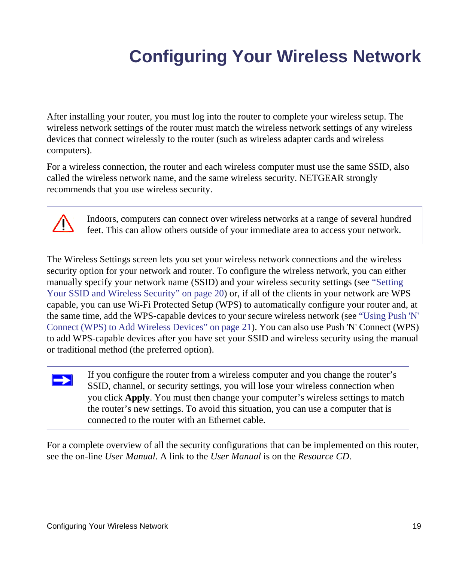# <span id="page-22-1"></span>**Configuring Your Wireless Network**

<span id="page-22-0"></span>After installing your router, you must log into the router to complete your wireless setup. The wireless network settings of the router must match the wireless network settings of any wireless devices that connect wirelessly to the router (such as wireless adapter cards and wireless computers).

For a wireless connection, the router and each wireless computer must use the same SSID, also called the wireless network name, and the same wireless security. NETGEAR strongly recommends that you use wireless security.



 $\rightarrow$ 

Indoors, computers can connect over wireless networks at a range of several hundred feet. This can allow others outside of your immediate area to access your network.

The Wireless Settings screen lets you set your wireless network connections and the wireless security option for your network and router. To configure the wireless network, you can either manually specify your network name (SSID) and your wireless security settings (see ["Setting](#page-23-0)  [Your SSID and Wireless Security" on page 20](#page-23-0)) or, if all of the clients in your network are WPS capable, you can use Wi-Fi Protected Setup (WPS) to automatically configure your router and, at the same time, add the WPS-capable devices to your secure wireless network (see ["Using Push 'N'](#page-24-0)  [Connect \(WPS\) to Add Wireless Devices" on page 21](#page-24-0)). You can also use Push 'N' Connect (WPS) to add WPS-capable devices after you have set your SSID and wireless security using the manual or traditional method (the preferred option).

If you configure the router from a wireless computer and you change the router's SSID, channel, or security settings, you will lose your wireless connection when you click **Apply**. You must then change your computer's wireless settings to match the router's new settings. To avoid this situation, you can use a computer that is connected to the router with an Ethernet cable.

For a complete overview of all the security configurations that can be implemented on this router, see the on-line *User Manual*. A link to the *User Manual* is on the *Resource CD*.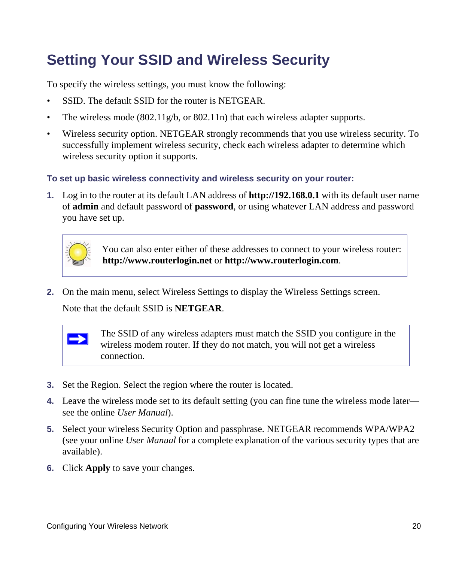## <span id="page-23-1"></span><span id="page-23-0"></span>**Setting Your SSID and Wireless Security**

To specify the wireless settings, you must know the following:

- SSID. The default SSID for the router is NETGEAR.
- The wireless mode  $(802.11g/b, or 802.11n)$  that each wireless adapter supports.
- Wireless security option. NETGEAR strongly recommends that you use wireless security. To successfully implement wireless security, check each wireless adapter to determine which wireless security option it supports.

#### **To set up basic wireless connectivity and wireless security on your router:**

**1.** Log in to the router at its default LAN address of **http://192.168.0.1** with its default user name of **admin** and default password of **password**, or using whatever LAN address and password you have set up.



You can also enter either of these addresses to connect to your wireless router: **http://www.routerlogin.net** or **http://www.routerlogin.com**.

**2.** On the main menu, select Wireless Settings to display the Wireless Settings screen.

Note that the default SSID is **NETGEAR**.



The SSID of any wireless adapters must match the SSID you configure in the wireless modem router. If they do not match, you will not get a wireless connection.

- **3.** Set the Region. Select the region where the router is located.
- **4.** Leave the wireless mode set to its default setting (you can fine tune the wireless mode later see the online *User Manual*).
- **5.** Select your wireless Security Option and passphrase. NETGEAR recommends WPA/WPA2 (see your online *User Manual* for a complete explanation of the various security types that are available).
- **6.** Click **Apply** to save your changes.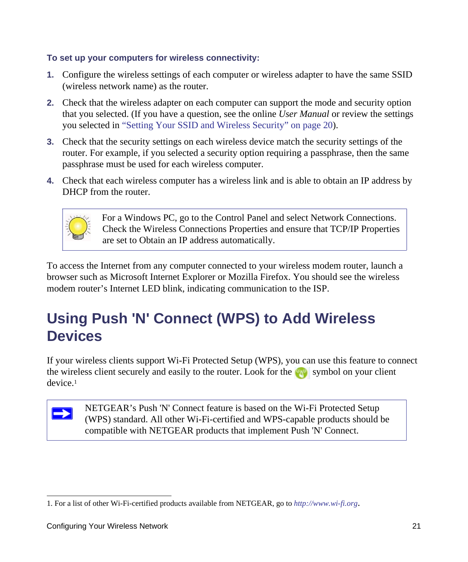#### **To set up your computers for wireless connectivity:**

- **1.** Configure the wireless settings of each computer or wireless adapter to have the same SSID (wireless network name) as the router.
- **2.** Check that the wireless adapter on each computer can support the mode and security option that you selected. (If you have a question, see the online *User Manual* or review the settings you selected in ["Setting Your SSID and Wireless Security" on page 20\)](#page-23-0).
- **3.** Check that the security settings on each wireless device match the security settings of the router. For example, if you selected a security option requiring a passphrase, then the same passphrase must be used for each wireless computer.
- **4.** Check that each wireless computer has a wireless link and is able to obtain an IP address by DHCP from the router.



 $\rightarrow$ 

For a Windows PC, go to the Control Panel and select Network Connections. Check the Wireless Connections Properties and ensure that TCP/IP Properties are set to Obtain an IP address automatically.

To access the Internet from any computer connected to your wireless modem router, launch a browser such as Microsoft Internet Explorer or Mozilla Firefox. You should see the wireless modem router's Internet LED blink, indicating communication to the ISP.

## <span id="page-24-0"></span>**Using Push 'N' Connect (WPS) to Add Wireless Devices**

If your wireless clients support Wi-Fi Protected Setup (WPS), you can use this feature to connect the wireless client securely and easily to the router. Look for the symbol on your client device<sup>1</sup>

NETGEAR's Push 'N' Connect feature is based on the Wi-Fi Protected Setup (WPS) standard. All other Wi-Fi-certified and WPS-capable products should be compatible with NETGEAR products that implement Push 'N' Connect.

<sup>1.</sup> For a list of other Wi-Fi-certified products available from NETGEAR, go to *<http://www.wi-fi.org>*.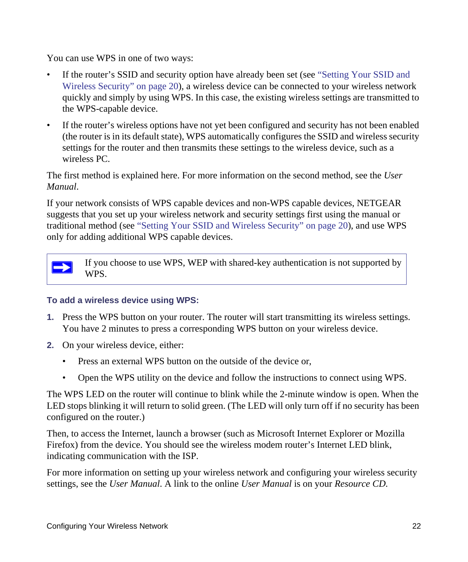You can use WPS in one of two ways:

- If the router's SSID and security option have already been set (see "Setting Your SSID and [Wireless Security" on page 20\)](#page-23-0), a wireless device can be connected to your wireless network quickly and simply by using WPS. In this case, the existing wireless settings are transmitted to the WPS-capable device.
- If the router's wireless options have not yet been configured and security has not been enabled (the router is in its default state), WPS automatically configures the SSID and wireless security settings for the router and then transmits these settings to the wireless device, such as a wireless PC.

The first method is explained here. For more information on the second method, see the *User Manual*.

If your network consists of WPS capable devices and non-WPS capable devices, NETGEAR suggests that you set up your wireless network and security settings first using the manual or traditional method (see ["Setting Your SSID and Wireless Security" on page 20](#page-23-0)), and use WPS only for adding additional WPS capable devices.



#### **To add a wireless device using WPS:**

- **1.** Press the WPS button on your router. The router will start transmitting its wireless settings. You have 2 minutes to press a corresponding WPS button on your wireless device.
- **2.** On your wireless device, either:
	- Press an external WPS button on the outside of the device or,
	- Open the WPS utility on the device and follow the instructions to connect using WPS.

The WPS LED on the router will continue to blink while the 2-minute window is open. When the LED stops blinking it will return to solid green. (The LED will only turn off if no security has been configured on the router.)

Then, to access the Internet, launch a browser (such as Microsoft Internet Explorer or Mozilla Firefox) from the device. You should see the wireless modem router's Internet LED blink, indicating communication with the ISP.

For more information on setting up your wireless network and configuring your wireless security settings, see the *User Manual*. A link to the online *User Manual* is on your *Resource CD.*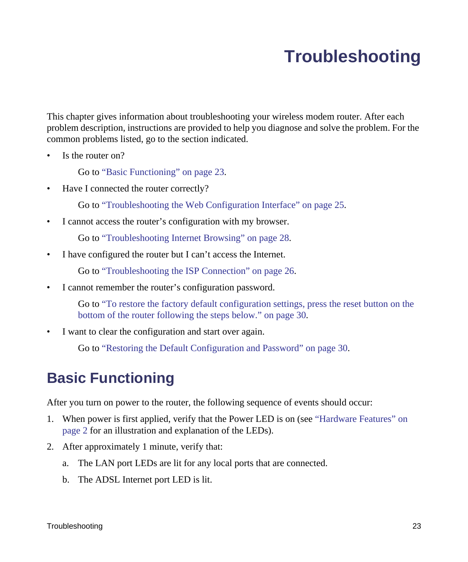# <span id="page-26-2"></span>**Troubleshooting**

<span id="page-26-0"></span>This chapter gives information about troubleshooting your wireless modem router. After each problem description, instructions are provided to help you diagnose and solve the problem. For the common problems listed, go to the section indicated.

• Is the router on?

Go to ["Basic Functioning" on page 23.](#page-26-1)

• Have I connected the router correctly?

Go to ["Troubleshooting the Web Configuration Interface" on page 25.](#page-28-0)

• I cannot access the router's configuration with my browser.

Go to ["Troubleshooting Internet Browsing" on page 28](#page-31-1).

• I have configured the router but I can't access the Internet.

Go to "Troubleshooting the ISP Connection" on page 26.

• I cannot remember the router's configuration password.

Go to "To restore the factory default configuration settings, press the reset button on the bottom of the router following the steps below." on page 30.

• I want to clear the configuration and start over again.

Go to ["Restoring the Default Configuration and Password" on page 30](#page-33-1).

### <span id="page-26-1"></span>**Basic Functioning**

After you turn on power to the router, the following sequence of events should occur:

- 1. When power is first applied, verify that the Power LED is on (see ["Hardware Features" on](#page-5-2)  [page 2](#page-5-2) for an illustration and explanation of the LEDs).
- 2. After approximately 1 minute, verify that:
	- a. The LAN port LEDs are lit for any local ports that are connected.
	- b. The ADSL Internet port LED is lit.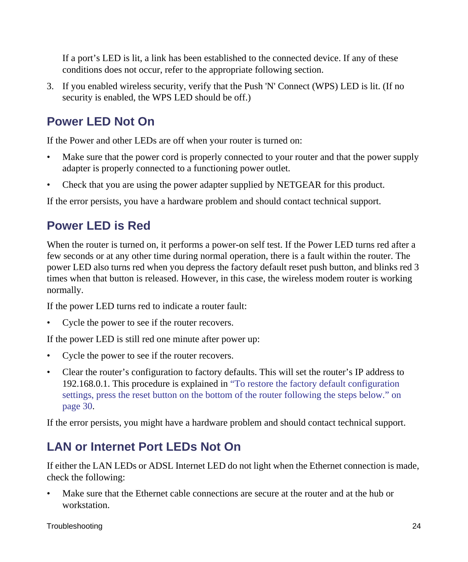If a port's LED is lit, a link has been established to the connected device. If any of these conditions does not occur, refer to the appropriate following section.

3. If you enabled wireless security, verify that the Push 'N' Connect (WPS) LED is lit. (If no security is enabled, the WPS LED should be off.)

### <span id="page-27-0"></span>**Power LED Not On**

If the Power and other LEDs are off when your router is turned on:

- Make sure that the power cord is properly connected to your router and that the power supply adapter is properly connected to a functioning power outlet.
- Check that you are using the power adapter supplied by NETGEAR for this product.

If the error persists, you have a hardware problem and should contact technical support.

### <span id="page-27-1"></span>**Power LED is Red**

When the router is turned on, it performs a power-on self test. If the Power LED turns red after a few seconds or at any other time during normal operation, there is a fault within the router. The power LED also turns red when you depress the factory default reset push button, and blinks red 3 times when that button is released. However, in this case, the wireless modem router is working normally.

If the power LED turns red to indicate a router fault:

• Cycle the power to see if the router recovers.

If the power LED is still red one minute after power up:

- Cycle the power to see if the router recovers.
- Clear the router's configuration to factory defaults. This will set the router's IP address to 192.168.0.1. This procedure is explained in "To restore the factory default configuration settings, press the reset button on the bottom of the router following the steps below." on page 30.

If the error persists, you might have a hardware problem and should contact technical support.

### <span id="page-27-2"></span>**LAN or Internet Port LEDs Not On**

If either the LAN LEDs or ADSL Internet LED do not light when the Ethernet connection is made, check the following:

• Make sure that the Ethernet cable connections are secure at the router and at the hub or workstation.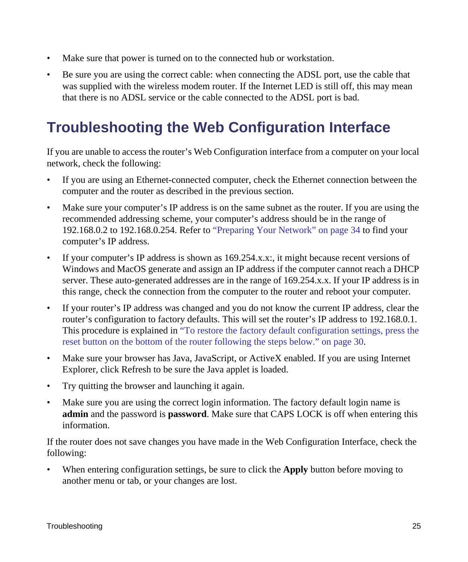- Make sure that power is turned on to the connected hub or workstation.
- Be sure you are using the correct cable: when connecting the ADSL port, use the cable that was supplied with the wireless modem router. If the Internet LED is still off, this may mean that there is no ADSL service or the cable connected to the ADSL port is bad.

## <span id="page-28-0"></span>**Troubleshooting the Web Configuration Interface**

If you are unable to access the router's Web Configuration interface from a computer on your local network, check the following:

- If you are using an Ethernet-connected computer, check the Ethernet connection between the computer and the router as described in the previous section.
- Make sure your computer's IP address is on the same subnet as the router. If you are using the recommended addressing scheme, your computer's address should be in the range of 192.168.0.2 to 192.168.0.254. Refer to ["Preparing Your Network" on page 34](#page-37-2) to find your computer's IP address.
- If your computer's IP address is shown as 169.254.x.x.; it might because recent versions of Windows and MacOS generate and assign an IP address if the computer cannot reach a DHCP server. These auto-generated addresses are in the range of 169.254.x.x. If your IP address is in this range, check the connection from the computer to the router and reboot your computer.
- If your router's IP address was changed and you do not know the current IP address, clear the router's configuration to factory defaults. This will set the router's IP address to 192.168.0.1. This procedure is explained in "To restore the factory default configuration settings, press the reset button on the bottom of the router following the steps below." on page 30.
- Make sure your browser has Java, JavaScript, or ActiveX enabled. If you are using Internet Explorer, click Refresh to be sure the Java applet is loaded.
- Try quitting the browser and launching it again.
- Make sure you are using the correct login information. The factory default login name is **admin** and the password is **password**. Make sure that CAPS LOCK is off when entering this information.

If the router does not save changes you have made in the Web Configuration Interface, check the following:

• When entering configuration settings, be sure to click the **Apply** button before moving to another menu or tab, or your changes are lost.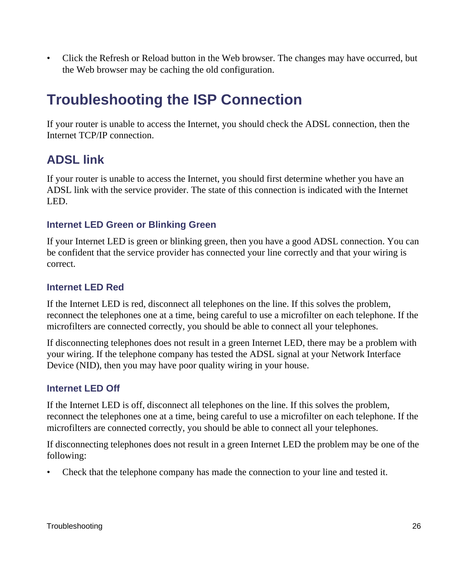• Click the Refresh or Reload button in the Web browser. The changes may have occurred, but the Web browser may be caching the old configuration.

### <span id="page-29-0"></span>**Troubleshooting the ISP Connection**

If your router is unable to access the Internet, you should check the ADSL connection, then the Internet TCP/IP connection.

### <span id="page-29-1"></span>**ADSL link**

If your router is unable to access the Internet, you should first determine whether you have an ADSL link with the service provider. The state of this connection is indicated with the Internet LED.

#### **Internet LED Green or Blinking Green**

If your Internet LED is green or blinking green, then you have a good ADSL connection. You can be confident that the service provider has connected your line correctly and that your wiring is correct.

#### **Internet LED Red**

If the Internet LED is red, disconnect all telephones on the line. If this solves the problem, reconnect the telephones one at a time, being careful to use a microfilter on each telephone. If the microfilters are connected correctly, you should be able to connect all your telephones.

If disconnecting telephones does not result in a green Internet LED, there may be a problem with your wiring. If the telephone company has tested the ADSL signal at your Network Interface Device (NID), then you may have poor quality wiring in your house.

#### **Internet LED Off**

If the Internet LED is off, disconnect all telephones on the line. If this solves the problem, reconnect the telephones one at a time, being careful to use a microfilter on each telephone. If the microfilters are connected correctly, you should be able to connect all your telephones.

If disconnecting telephones does not result in a green Internet LED the problem may be one of the following:

• Check that the telephone company has made the connection to your line and tested it.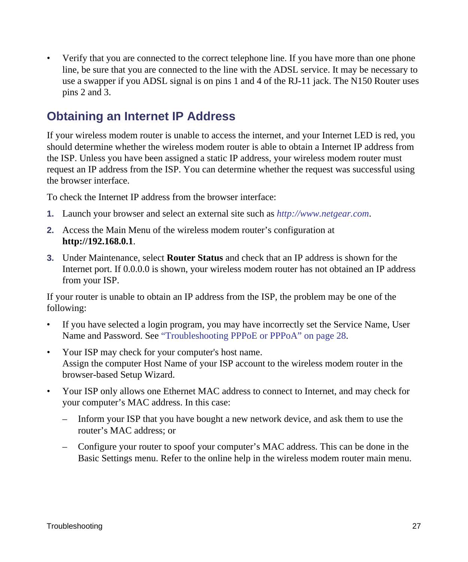• Verify that you are connected to the correct telephone line. If you have more than one phone line, be sure that you are connected to the line with the ADSL service. It may be necessary to use a swapper if you ADSL signal is on pins 1 and 4 of the RJ-11 jack. The N150 Router uses pins 2 and 3.

### <span id="page-30-0"></span>**Obtaining an Internet IP Address**

If your wireless modem router is unable to access the internet, and your Internet LED is red, you should determine whether the wireless modem router is able to obtain a Internet IP address from the ISP. Unless you have been assigned a static IP address, your wireless modem router must request an IP address from the ISP. You can determine whether the request was successful using the browser interface.

To check the Internet IP address from the browser interface:

- **1.** Launch your browser and select an external site such as *<http://www.netgear.com>*.
- **2.** Access the Main Menu of the wireless modem router's configuration at **http://192.168.0.1**.
- **3.** Under Maintenance, select **Router Status** and check that an IP address is shown for the Internet port. If 0.0.0.0 is shown, your wireless modem router has not obtained an IP address from your ISP.

If your router is unable to obtain an IP address from the ISP, the problem may be one of the following:

- If you have selected a login program, you may have incorrectly set the Service Name, User Name and Password. See ["Troubleshooting PPPoE or PPPoA" on page 28](#page-31-0).
- Your ISP may check for your computer's host name. Assign the computer Host Name of your ISP account to the wireless modem router in the browser-based Setup Wizard.
- Your ISP only allows one Ethernet MAC address to connect to Internet, and may check for your computer's MAC address. In this case:
	- Inform your ISP that you have bought a new network device, and ask them to use the router's MAC address; or
	- Configure your router to spoof your computer's MAC address. This can be done in the Basic Settings menu. Refer to the online help in the wireless modem router main menu.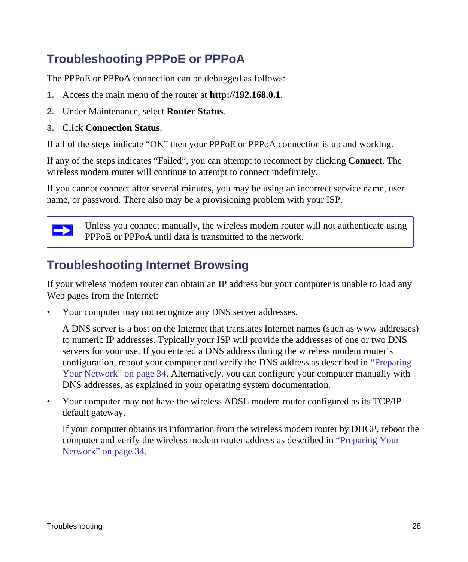### <span id="page-31-0"></span>**Troubleshooting PPPoE or PPPoA**

The PPPoE or PPPoA connection can be debugged as follows:

- **1.** Access the main menu of the router at **http://192.168.0.1**.
- **2.** Under Maintenance, select **Router Status**.

#### **3.** Click **Connection Status**.

If all of the steps indicate "OK" then your PPPoE or PPPoA connection is up and working.

If any of the steps indicates "Failed", you can attempt to reconnect by clicking **Connect**. The wireless modem router will continue to attempt to connect indefinitely.

If you cannot connect after several minutes, you may be using an incorrect service name, user name, or password. There also may be a provisioning problem with your ISP.



Unless you connect manually, the wireless modem router will not authenticate using PPPoE or PPPoA until data is transmitted to the network.

### <span id="page-31-1"></span>**Troubleshooting Internet Browsing**

If your wireless modem router can obtain an IP address but your computer is unable to load any Web pages from the Internet:

• Your computer may not recognize any DNS server addresses.

A DNS server is a host on the Internet that translates Internet names (such as www addresses) to numeric IP addresses. Typically your ISP will provide the addresses of one or two DNS servers for your use. If you entered a DNS address during the wireless modem router's configuration, reboot your computer and verify the DNS address as described in ["Preparing](#page-37-2)  [Your Network" on page 34.](#page-37-2) Alternatively, you can configure your computer manually with DNS addresses, as explained in your operating system documentation*.*

• Your computer may not have the wireless ADSL modem router configured as its TCP/IP default gateway.

If your computer obtains its information from the wireless modem router by DHCP, reboot the computer and verify the wireless modem router address as described in ["Preparing Your](#page-37-2)  [Network" on page 34](#page-37-2).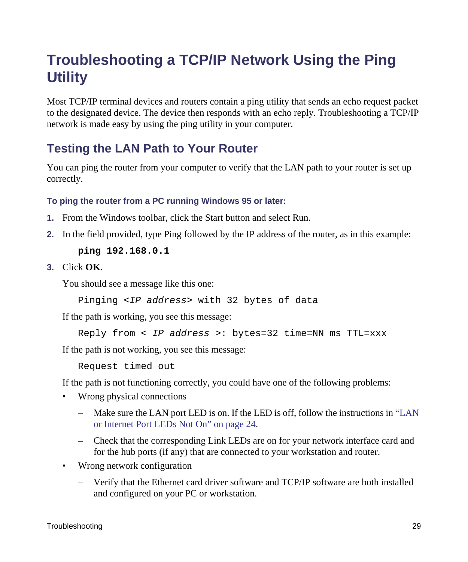## <span id="page-32-0"></span>**Troubleshooting a TCP/IP Network Using the Ping Utility**

Most TCP/IP terminal devices and routers contain a ping utility that sends an echo request packet to the designated device. The device then responds with an echo reply. Troubleshooting a TCP/IP network is made easy by using the ping utility in your computer.

### <span id="page-32-1"></span>**Testing the LAN Path to Your Router**

You can ping the router from your computer to verify that the LAN path to your router is set up correctly.

#### **To ping the router from a PC running Windows 95 or later:**

- **1.** From the Windows toolbar, click the Start button and select Run.
- **2.** In the field provided, type Ping followed by the IP address of the router, as in this example:

**ping 192.168.0.1**

**3.** Click **OK**.

You should see a message like this one:

Pinging *<IP address>* with 32 bytes of data

If the path is working, you see this message:

```
Reply from < IP address >: bytes=32 time=NN ms TTL=xxx
```
If the path is not working, you see this message:

Request timed out

If the path is not functioning correctly, you could have one of the following problems:

- Wrong physical connections
	- Make sure the LAN port LED is on. If the LED is off, follow the instructions in ["LAN](#page-27-2)  [or Internet Port LEDs Not On" on page 24.](#page-27-2)
	- Check that the corresponding Link LEDs are on for your network interface card and for the hub ports (if any) that are connected to your workstation and router.
- Wrong network configuration
	- Verify that the Ethernet card driver software and TCP/IP software are both installed and configured on your PC or workstation.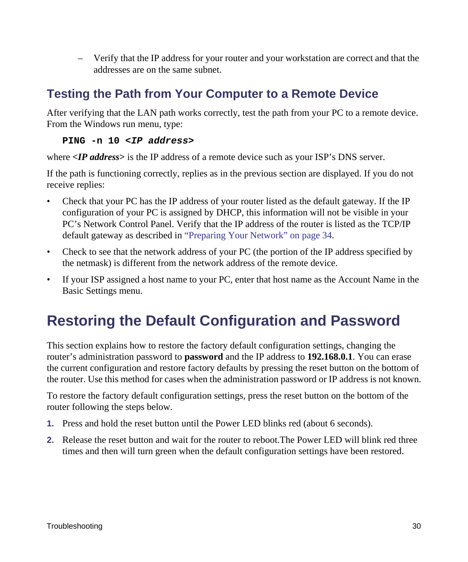– Verify that the IP address for your router and your workstation are correct and that the addresses are on the same subnet.

### <span id="page-33-0"></span>**Testing the Path from Your Computer to a Remote Device**

After verifying that the LAN path works correctly, test the path from your PC to a remote device. From the Windows run menu, type:

#### **PING -n 10 <***IP address***>**

where **<***IP address***>** is the IP address of a remote device such as your ISP's DNS server.

If the path is functioning correctly, replies as in the previous section are displayed. If you do not receive replies:

- Check that your PC has the IP address of your router listed as the default gateway. If the IP configuration of your PC is assigned by DHCP, this information will not be visible in your PC's Network Control Panel. Verify that the IP address of the router is listed as the TCP/IP default gateway as described in ["Preparing Your Network" on page 34.](#page-37-2)
- Check to see that the network address of your PC (the portion of the IP address specified by the netmask) is different from the network address of the remote device.
- If your ISP assigned a host name to your PC, enter that host name as the Account Name in the Basic Settings menu.

## <span id="page-33-2"></span><span id="page-33-1"></span>**Restoring the Default Configuration and Password**

This section explains how to restore the factory default configuration settings, changing the router's administration password to **password** and the IP address to **192.168.0.1**. You can erase the current configuration and restore factory defaults by pressing the reset button on the bottom of the router. Use this method for cases when the administration password or IP address is not known.

To restore the factory default configuration settings, press the reset button on the bottom of the router following the steps below.

- **1.** Press and hold the reset button until the Power LED blinks red (about 6 seconds).
- **2.** Release the reset button and wait for the router to reboot.The Power LED will blink red three times and then will turn green when the default configuration settings have been restored.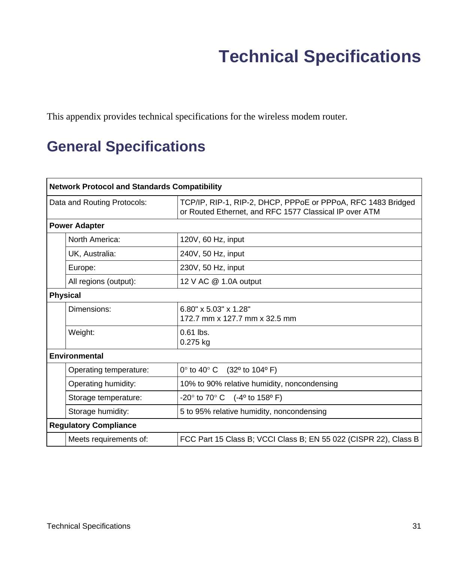# **Technical Specifications**

<span id="page-34-0"></span>This appendix provides technical specifications for the wireless modem router.

## <span id="page-34-1"></span>**General Specifications**

| <b>Network Protocol and Standards Compatibility</b> |                                                                                                                        |  |
|-----------------------------------------------------|------------------------------------------------------------------------------------------------------------------------|--|
| Data and Routing Protocols:                         | TCP/IP, RIP-1, RIP-2, DHCP, PPPoE or PPPoA, RFC 1483 Bridged<br>or Routed Ethernet, and RFC 1577 Classical IP over ATM |  |
| <b>Power Adapter</b>                                |                                                                                                                        |  |
| North America:                                      | 120V, 60 Hz, input                                                                                                     |  |
| UK, Australia:                                      | 240V, 50 Hz, input                                                                                                     |  |
| Europe:                                             | 230V, 50 Hz, input                                                                                                     |  |
| All regions (output):                               | 12 V AC @ 1.0A output                                                                                                  |  |
| <b>Physical</b>                                     |                                                                                                                        |  |
| Dimensions:                                         | $6.80" \times 5.03" \times 1.28"$<br>172.7 mm x 127.7 mm x 32.5 mm                                                     |  |
| Weight:                                             | $0.61$ lbs.<br>0.275 kg                                                                                                |  |
| <b>Environmental</b>                                |                                                                                                                        |  |
| Operating temperature:                              | 0° to 40° C (32° to 104° F)                                                                                            |  |
| Operating humidity:                                 | 10% to 90% relative humidity, noncondensing                                                                            |  |
| Storage temperature:                                | $-20^{\circ}$ to 70° C ( $-4^{\circ}$ to 158° F)                                                                       |  |
| Storage humidity:                                   | 5 to 95% relative humidity, noncondensing                                                                              |  |
| <b>Regulatory Compliance</b>                        |                                                                                                                        |  |
| Meets requirements of:                              | FCC Part 15 Class B; VCCI Class B; EN 55 022 (CISPR 22), Class B                                                       |  |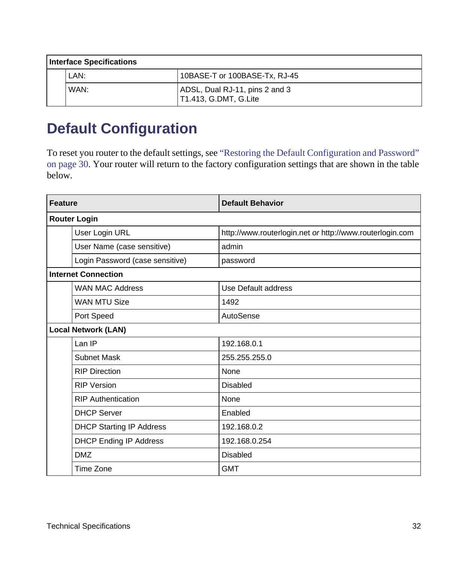| <b>Interface Specifications</b> |      |                                                         |
|---------------------------------|------|---------------------------------------------------------|
|                                 | LAN: | 10BASE-T or 100BASE-Tx, RJ-45                           |
|                                 | WAN: | ADSL, Dual RJ-11, pins 2 and 3<br>T1.413. G.DMT. G.Lite |

## <span id="page-35-0"></span>**Default Configuration**

To reset you router to the default settings, see ["Restoring the Default Configuration and Password"](#page-33-2)  [on page 30.](#page-33-2) Your router will return to the factory configuration settings that are shown in the table below.

| <b>Feature</b> |                                 | <b>Default Behavior</b>                                  |
|----------------|---------------------------------|----------------------------------------------------------|
|                | <b>Router Login</b>             |                                                          |
|                | User Login URL                  | http://www.routerlogin.net or http://www.routerlogin.com |
|                | User Name (case sensitive)      | admin                                                    |
|                | Login Password (case sensitive) | password                                                 |
|                | <b>Internet Connection</b>      |                                                          |
|                | <b>WAN MAC Address</b>          | Use Default address                                      |
|                | <b>WAN MTU Size</b>             | 1492                                                     |
|                | Port Speed                      | AutoSense                                                |
|                | <b>Local Network (LAN)</b>      |                                                          |
|                | Lan IP                          | 192.168.0.1                                              |
|                | Subnet Mask                     | 255.255.255.0                                            |
|                | <b>RIP Direction</b>            | None                                                     |
|                | <b>RIP Version</b>              | <b>Disabled</b>                                          |
|                | <b>RIP Authentication</b>       | None                                                     |
|                | <b>DHCP Server</b>              | Enabled                                                  |
|                | <b>DHCP Starting IP Address</b> | 192.168.0.2                                              |
|                | DHCP Ending IP Address          | 192.168.0.254                                            |
|                | DM <sub>Z</sub>                 | <b>Disabled</b>                                          |
|                | Time Zone                       | <b>GMT</b>                                               |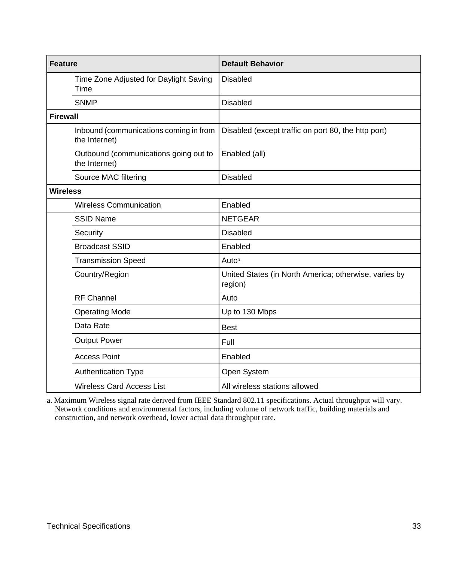| <b>Feature</b>                                          | <b>Default Behavior</b>                                          |
|---------------------------------------------------------|------------------------------------------------------------------|
| Time Zone Adjusted for Daylight Saving<br>Time          | <b>Disabled</b>                                                  |
| <b>SNMP</b>                                             | <b>Disabled</b>                                                  |
| <b>Firewall</b>                                         |                                                                  |
| Inbound (communications coming in from<br>the Internet) | Disabled (except traffic on port 80, the http port)              |
| Outbound (communications going out to<br>the Internet)  | Enabled (all)                                                    |
| Source MAC filtering                                    | <b>Disabled</b>                                                  |
| <b>Wireless</b>                                         |                                                                  |
| <b>Wireless Communication</b>                           | Enabled                                                          |
| <b>SSID Name</b>                                        | <b>NETGEAR</b>                                                   |
| Security                                                | <b>Disabled</b>                                                  |
| <b>Broadcast SSID</b>                                   | Enabled                                                          |
| <b>Transmission Speed</b>                               | Autoa                                                            |
| Country/Region                                          | United States (in North America; otherwise, varies by<br>region) |
| <b>RF Channel</b>                                       | Auto                                                             |
| <b>Operating Mode</b>                                   | Up to 130 Mbps                                                   |
| Data Rate                                               | <b>Best</b>                                                      |
| <b>Output Power</b>                                     | Full                                                             |
| <b>Access Point</b>                                     | Enabled                                                          |
| <b>Authentication Type</b>                              | Open System                                                      |
| <b>Wireless Card Access List</b>                        | All wireless stations allowed                                    |

a. Maximum Wireless signal rate derived from IEEE Standard 802.11 specifications. Actual throughput will vary. Network conditions and environmental factors, including volume of network traffic, building materials and construction, and network overhead, lower actual data throughput rate.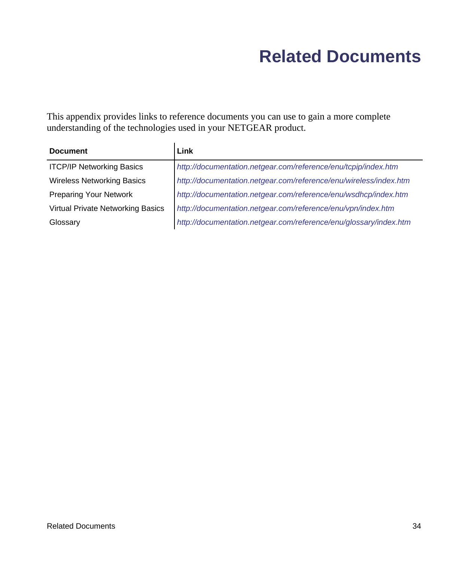## <span id="page-37-1"></span>**Related Documents**

<span id="page-37-0"></span>This appendix provides links to reference documents you can use to gain a more complete understanding of the technologies used in your NETGEAR product.

<span id="page-37-2"></span>

| <b>Document</b>                   | Link                                                              |
|-----------------------------------|-------------------------------------------------------------------|
| <b>ITCP/IP Networking Basics</b>  | http://documentation.netgear.com/reference/enu/tcpip/index.htm    |
| <b>Wireless Networking Basics</b> | http://documentation.netgear.com/reference/enu/wireless/index.htm |
| <b>Preparing Your Network</b>     | http://documentation.netgear.com/reference/enu/wsdhcp/index.htm   |
| Virtual Private Networking Basics | http://documentation.netgear.com/reference/enu/vpn/index.htm      |
| Glossary                          | http://documentation.netgear.com/reference/enu/glossary/index.htm |